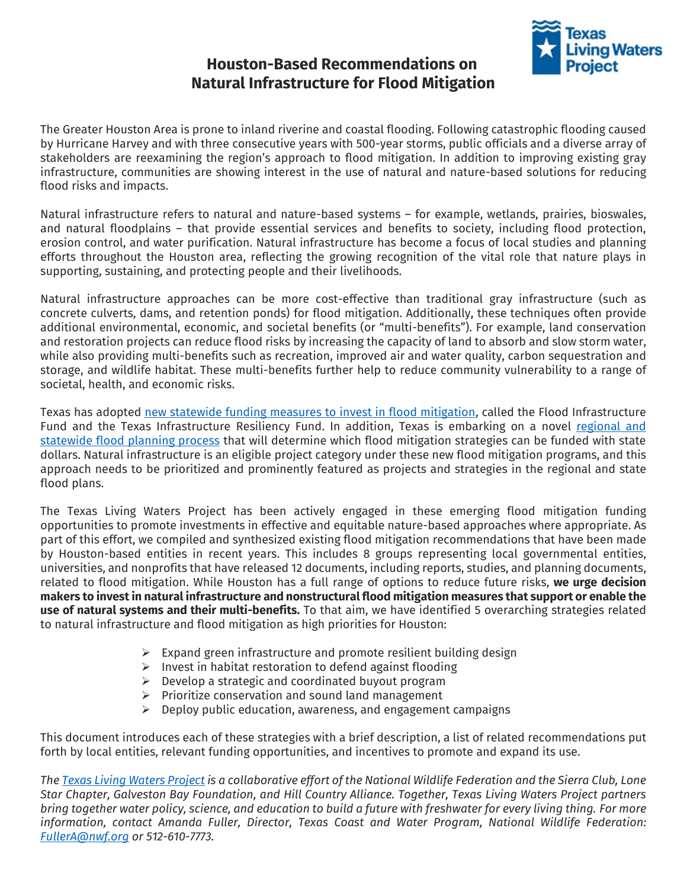## **Houston-Based Recommendations on Natural Infrastructure for Flood Mitigation**



The Greater Houston Area is prone to inland riverine and coastal flooding. Following catastrophic flooding caused by Hurricane Harvey and with three consecutive years with 500-year storms, public officials and a diverse array of stakeholders are reexamining the region's approach to flood mitigation. In addition to improving existing gray infrastructure, communities are showing interest in the use of natural and nature-based solutions for reducing flood risks and impacts.

Natural infrastructure refers to natural and nature-based systems – for example, wetlands, prairies, bioswales, and natural floodplains – that provide essential services and benefits to society, including flood protection, erosion control, and water purification. Natural infrastructure has become a focus of local studies and planning efforts throughout the Houston area, reflecting the growing recognition of the vital role that nature plays in supporting, sustaining, and protecting people and their livelihoods.

Natural infrastructure approaches can be more cost-effective than traditional gray infrastructure (such as concrete culverts, dams, and retention ponds) for flood mitigation. Additionally, these techniques often provide additional environmental, economic, and societal benefits (or "multi-benefits"). For example, land conservation and restoration projects can reduce flood risks by increasing the capacity of land to absorb and slow storm water, while also providing multi-benefits such as recreation, improved air and water quality, carbon sequestration and storage, and wildlife habitat. These multi-benefits further help to reduce community vulnerability to a range of societal, health, and economic risks.

Texas has adopted new [statewide funding measures to invest in flood mitigation,](https://texaslivingwaters.org/texasfif/) called the Flood Infrastructure Fund and the Texas Infrastructure Resiliency Fund. In addition, Texas is embarking on a novel [regional and](https://texaslivingwaters.org/statefloodplan/)  [statewide flood planning process](https://texaslivingwaters.org/statefloodplan/) that will determine which flood mitigation strategies can be funded with state dollars. Natural infrastructure is an eligible project category under these new flood mitigation programs, and this approach needs to be prioritized and prominently featured as projects and strategies in the regional and state flood plans.

The Texas Living Waters Project has been actively engaged in these emerging flood mitigation funding opportunities to promote investments in effective and equitable nature-based approaches where appropriate. As part of this effort, we compiled and synthesized existing flood mitigation recommendations that have been made by Houston-based entities in recent years. This includes 8 groups representing local governmental entities, universities, and nonprofits that have released 12 documents, including reports, studies, and planning documents, related to flood mitigation. While Houston has a full range of options to reduce future risks, **we urge decision makers to invest in natural infrastructure and nonstructural flood mitigation measures that support or enable the use of natural systems and their multi-benefits.** To that aim, we have identified 5 overarching strategies related to natural infrastructure and flood mitigation as high priorities for Houston:

- $\triangleright$  Expand green infrastructure and promote resilient building design
- ➢ Invest in habitat restoration to defend against flooding
- $\triangleright$  Develop a strategic and coordinated buyout program
- ➢ Prioritize conservation and sound land management
- $\triangleright$  Deploy public education, awareness, and engagement campaigns

This document introduces each of these strategies with a brief description, a list of related recommendations put forth by local entities, relevant funding opportunities, and incentives to promote and expand its use.

*The [Texas Living Waters Project](https://texaslivingwaters.org/) is a collaborative effort of the National Wildlife Federation and the Sierra Club, Lone Star Chapter, Galveston Bay Foundation, and Hill Country Alliance. Together, Texas Living Waters Project partners bring together water policy, science, and education to build a future with freshwater for every living thing. For more information, contact Amanda Fuller, Director, Texas Coast and Water Program, National Wildlife Federation: [FullerA@nwf.org](mailto:FullerA@nwf.org) or 512-610-7773.*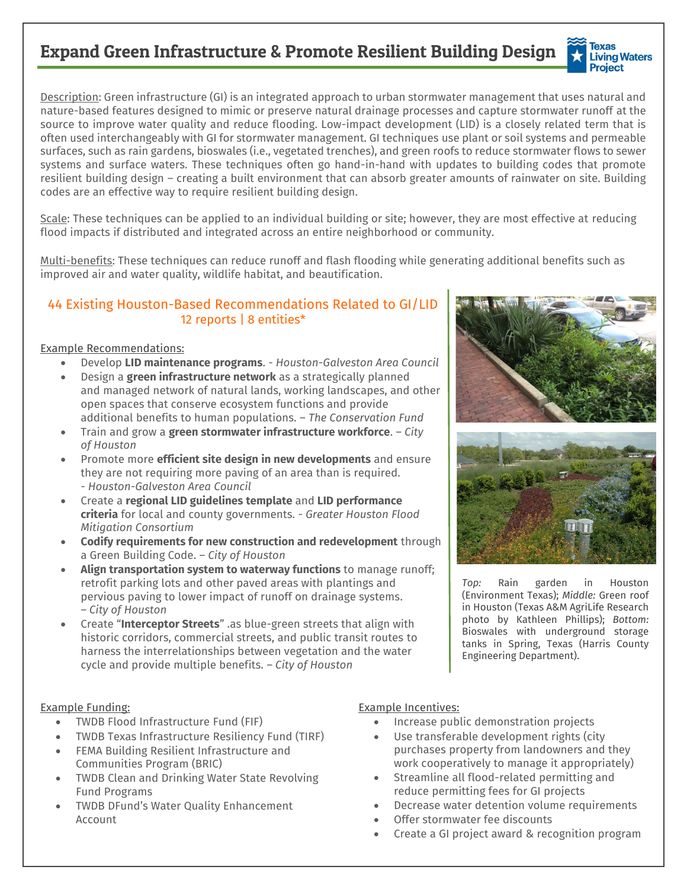# Expand Green Infrastructure & Promote Resilient Building Design



Description: Green infrastructure (GI) is an integrated approach to urban stormwater management that uses natural and nature-based features designed to mimic or preserve natural drainage processes and capture stormwater runoff at the source to improve water quality and reduce flooding. Low-impact development (LID) is a closely related term that is often used interchangeably with GI for stormwater management. GI techniques use plant or soil systems and permeable surfaces, such as rain gardens, bioswales (i.e., vegetated trenches), and green roofs to reduce stormwater flows to sewer systems and surface waters. These techniques often go hand-in-hand with updates to building codes that promote resilient building design – creating a built environment that can absorb greater amounts of rainwater on site. Building codes are an effective way to require resilient building design.

Scale: These techniques can be applied to an individual building or site; however, they are most effective at reducing flood impacts if distributed and integrated across an entire neighborhood or community.

Multi-benefits: These techniques can reduce runoff and flash flooding while generating additional benefits such as improved air and water quality, wildlife habitat, and beautification.

## 44 Existing Houston-Based Recommendations Related to GI/LID 12 reports | 8 entities\*

#### Example Recommendations:

- Develop **LID maintenance programs**. *Houston-Galveston Area Council*
- Design a **green infrastructure network** as a strategically planned and managed network of natural lands, working landscapes, and other open spaces that conserve ecosystem functions and provide additional benefits to human populations. – *The Conservation Fund*
- Train and grow a **green stormwater infrastructure workforce**. *– City of Houston*
- Promote more **efficient site design in new developments** and ensure they are not requiring more paving of an area than is required. - *Houston-Galveston Area Council*
- Create a **regional LID guidelines template** and **LID performance criteria** for local and county governments. *- Greater Houston Flood Mitigation Consortium*
- **Codify requirements for new construction and redevelopment** through a Green Building Code. – *City of Houston*
- **Align transportation system to waterway functions** to manage runoff; retrofit parking lots and other paved areas with plantings and pervious paving to lower impact of runoff on drainage systems. *– City of Houston*
- Create "**Interceptor Streets**" .as blue-green streets that align with historic corridors, commercial streets, and public transit routes to harness the interrelationships between vegetation and the water cycle and provide multiple benefits. *– City of Houston*

#### Example Funding:

- TWDB Flood Infrastructure Fund (FIF)
- TWDB Texas Infrastructure Resiliency Fund (TIRF)
- FEMA Building Resilient Infrastructure and Communities Program (BRIC)
- TWDB Clean and Drinking Water State Revolving Fund Programs
- TWDB DFund's Water Quality Enhancement Account

#### Example Incentives:

- Increase public demonstration projects
- Use transferable development rights (city purchases property from landowners and they work cooperatively to manage it appropriately)
- Streamline all flood-related permitting and reduce permitting fees for GI projects
- Decrease water detention volume requirements
- Offer stormwater fee discounts
- Create a GI project award & recognition program





*Top:* Rain garden in Houston (Environment Texas); *Middle:* Green roof in Houston (Texas A&M AgriLife Research photo by Kathleen Phillips); *Bottom:* Bioswales with underground storage tanks in Spring, Texas (Harris County Engineering Department).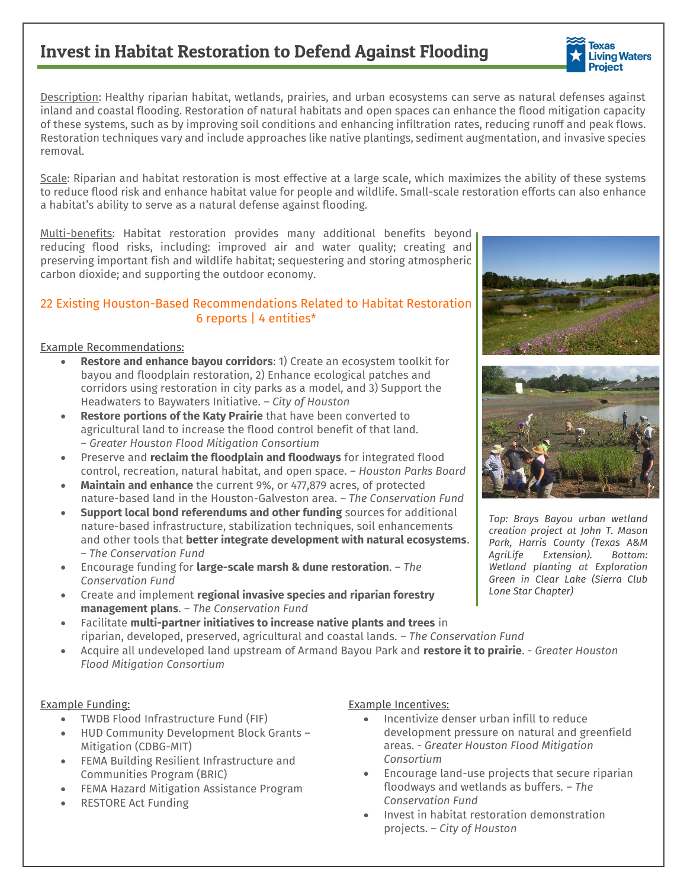# Invest in Habitat Restoration to Defend Against Flooding

Description: Healthy riparian habitat, wetlands, prairies, and urban ecosystems can serve as natural defenses against inland and coastal flooding. Restoration of natural habitats and open spaces can enhance the flood mitigation capacity of these systems, such as by improving soil conditions and enhancing infiltration rates, reducing runoff and peak flows. Restoration techniques vary and include approaches like native plantings, sediment augmentation, and invasive species removal.

Scale: Riparian and habitat restoration is most effective at a large scale, which maximizes the ability of these systems to reduce flood risk and enhance habitat value for people and wildlife. Small-scale restoration efforts can also enhance a habitat's ability to serve as a natural defense against flooding.

Multi-benefits: Habitat restoration provides many additional benefits beyond reducing flood risks, including: improved air and water quality; creating and preserving important fish and wildlife habitat; sequestering and storing atmospheric carbon dioxide; and supporting the outdoor economy.

### 22 Existing Houston-Based Recommendations Related to Habitat Restoration 6 reports | 4 entities\*

### Example Recommendations:

- **Restore and enhance bayou corridors**: 1) Create an ecosystem toolkit for bayou and floodplain restoration, 2) Enhance ecological patches and corridors using restoration in city parks as a model, and 3) Support the Headwaters to Baywaters Initiative. *– City of Houston*
- **Restore portions of the Katy Prairie** that have been converted to agricultural land to increase the flood control benefit of that land. – *Greater Houston Flood Mitigation Consortium*
- Preserve and **reclaim the floodplain and floodways** for integrated flood control, recreation, natural habitat, and open space. *– Houston Parks Board*
- **Maintain and enhance** the current 9%, or 477,879 acres, of protected nature-based land in the Houston-Galveston area. *– The Conservation Fund*
- **Support local bond referendums and other funding** sources for additional nature-based infrastructure, stabilization techniques, soil enhancements and other tools that **better integrate development with natural ecosystems**. *– The Conservation Fund*
- Encourage funding for **large-scale marsh & dune restoration**. *– The Conservation Fund*
- Create and implement **regional invasive species and riparian forestry management plans**. *– The Conservation Fund*
- Facilitate **multi-partner initiatives to increase native plants and trees** in riparian, developed, preserved, agricultural and coastal lands. *– The Conservation Fund*
- Acquire all undeveloped land upstream of Armand Bayou Park and **restore it to prairie**. *- Greater Houston Flood Mitigation Consortium*

#### Example Funding:

- TWDB Flood Infrastructure Fund (FIF)
- HUD Community Development Block Grants Mitigation (CDBG-MIT)
- FEMA Building Resilient Infrastructure and Communities Program (BRIC)
- FEMA Hazard Mitigation Assistance Program
- RESTORE Act Funding

#### Example Incentives:

- Incentivize denser urban infill to reduce development pressure on natural and greenfield areas. *- Greater Houston Flood Mitigation Consortium*
- Encourage land-use projects that secure riparian floodways and wetlands as buffers. *– The Conservation Fund*
- Invest in habitat restoration demonstration projects. *– City of Houston*



*creation project at John T. Mason Park, Harris County (Texas A&M AgriLife Extension). Bottom: Wetland planting at Exploration Green in Clear Lake (Sierra Club Lone Star Chapter)*





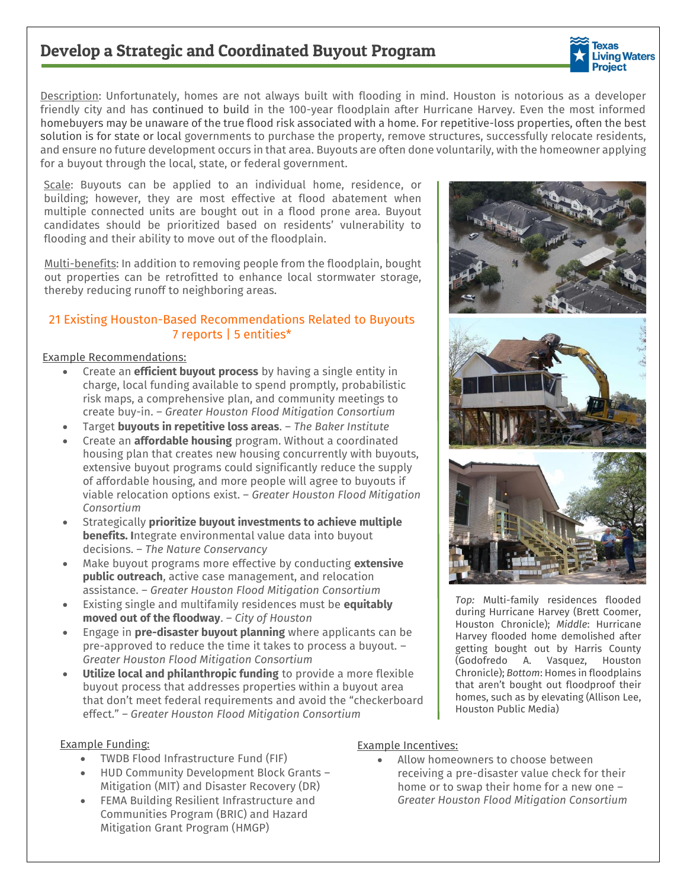## Develop a Strategic and Coordinated Buyout Program

**Texas Living Waters Project** 

Description: Unfortunately, homes are not always built with flooding in mind. Houston is notorious as a developer friendly city and has continued to build in the 100-year floodplain after Hurricane Harvey. Even the most informed homebuyers may be unaware of the true flood risk associated with a home. For repetitive-loss properties, often the best solution is for state or local governments to purchase the property, remove structures, successfully relocate residents, and ensure no future development occurs in that area. Buyouts are often done voluntarily, with the homeowner applying for a buyout through the local, state, or federal government.

Scale: Buyouts can be applied to an individual home, residence, or building; however, they are most effective at flood abatement when multiple connected units are bought out in a flood prone area. Buyout candidates should be prioritized based on residents' vulnerability to flooding and their ability to move out of the floodplain.

Multi-benefits: In addition to removing people from the floodplain, bought out properties can be retrofitted to enhance local stormwater storage, thereby reducing runoff to neighboring areas.

### 21 Existing Houston-Based Recommendations Related to Buyouts 7 reports | 5 entities\*

#### Example Recommendations:

- Create an **efficient buyout process** by having a single entity in charge, local funding available to spend promptly, probabilistic risk maps, a comprehensive plan, and community meetings to create buy-in. – *Greater Houston Flood Mitigation Consortium*
- Target **buyouts in repetitive loss areas**. *The Baker Institute*
- Create an **affordable housing** program. Without a coordinated housing plan that creates new housing concurrently with buyouts, extensive buyout programs could significantly reduce the supply of affordable housing, and more people will agree to buyouts if viable relocation options exist. – *Greater Houston Flood Mitigation Consortium*
- Strategically **prioritize buyout investments to achieve multiple benefits. I**ntegrate environmental value data into buyout decisions. – *The Nature Conservancy*
- Make buyout programs more effective by conducting **extensive public outreach**, active case management, and relocation assistance. – *Greater Houston Flood Mitigation Consortium*
- Existing single and multifamily residences must be **equitably moved out of the floodway**. – *City of Houston*
- Engage in **pre-disaster buyout planning** where applicants can be pre-approved to reduce the time it takes to process a buyout. – *Greater Houston Flood Mitigation Consortium*
- **Utilize local and philanthropic funding** to provide a more flexible buyout process that addresses properties within a buyout area that don't meet federal requirements and avoid the "checkerboard effect." *– Greater Houston Flood Mitigation Consortium*

#### Example Funding:

- TWDB Flood Infrastructure Fund (FIF)
- HUD Community Development Block Grants Mitigation (MIT) and Disaster Recovery (DR)
- FEMA Building Resilient Infrastructure and Communities Program (BRIC) and Hazard Mitigation Grant Program (HMGP)

#### Example Incentives:

Allow homeowners to choose between receiving a pre-disaster value check for their home or to swap their home for a new one – *Greater Houston Flood Mitigation Consortium*



*Top:* Multi-family residences flooded during Hurricane Harvey (Brett Coomer, Houston Chronicle); *Middle*: Hurricane Harvey flooded home demolished after getting bought out by Harris County (Godofredo A. Vasquez, Houston Chronicle); *Bottom*: Homes in floodplains that aren't bought out floodproof their homes, such as by elevating (Allison Lee, Houston Public Media)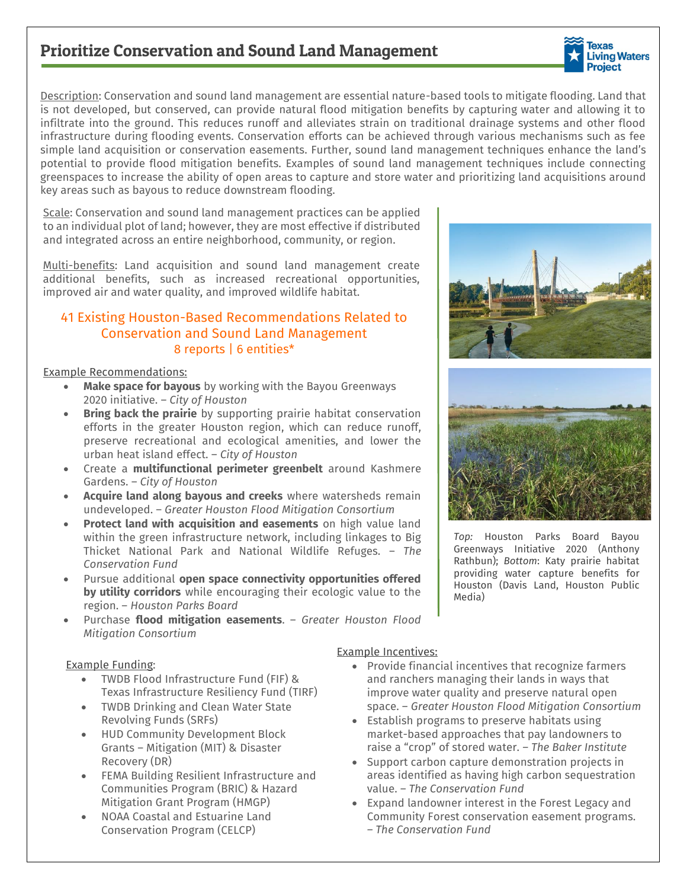## Prioritize Conservation and Sound Land Management



Description: Conservation and sound land management are essential nature-based tools to mitigate flooding. Land that is not developed, but conserved, can provide natural flood mitigation benefits by capturing water and allowing it to infiltrate into the ground. This reduces runoff and alleviates strain on traditional drainage systems and other flood infrastructure during flooding events. Conservation efforts can be achieved through various mechanisms such as fee simple land acquisition or conservation easements. Further, sound land management techniques enhance the land's potential to provide flood mitigation benefits. Examples of sound land management techniques include connecting greenspaces to increase the ability of open areas to capture and store water and prioritizing land acquisitions around key areas such as bayous to reduce downstream flooding.

Scale: Conservation and sound land management practices can be applied to an individual plot of land; however, they are most effective if distributed and integrated across an entire neighborhood, community, or region.

Multi-benefits: Land acquisition and sound land management create additional benefits, such as increased recreational opportunities, improved air and water quality, and improved wildlife habitat.

## 41 Existing Houston-Based Recommendations Related to Conservation and Sound Land Management 8 reports | 6 entities\*

#### Example Recommendations:

- **Make space for bayous** by working with the Bayou Greenways 2020 initiative. – *City of Houston*
- **Bring back the prairie** by supporting prairie habitat conservation efforts in the greater Houston region, which can reduce runoff, preserve recreational and ecological amenities, and lower the urban heat island effect. – *City of Houston*
- Create a **multifunctional perimeter greenbelt** around Kashmere Gardens. – *City of Houston*
- **Acquire land along bayous and creeks** where watersheds remain undeveloped. – *Greater Houston Flood Mitigation Consortium*
- **Protect land with acquisition and easements** on high value land within the green infrastructure network, including linkages to Big Thicket National Park and National Wildlife Refuges. – *The Conservation Fund*
- Pursue additional **open space connectivity opportunities offered by utility corridors** while encouraging their ecologic value to the region. – *Houston Parks Board*
- Purchase **flood mitigation easements**. *Greater Houston Flood Mitigation Consortium*

#### Example Funding:

- TWDB Flood Infrastructure Fund (FIF) & Texas Infrastructure Resiliency Fund (TIRF)
- TWDB Drinking and Clean Water State Revolving Funds (SRFs)
- HUD Community Development Block Grants – Mitigation (MIT) & Disaster Recovery (DR)
- FEMA Building Resilient Infrastructure and Communities Program (BRIC) & Hazard Mitigation Grant Program (HMGP)
- NOAA Coastal and Estuarine Land Conservation Program (CELCP)

#### Example Incentives:

- Provide financial incentives that recognize farmers and ranchers managing their lands in ways that improve water quality and preserve natural open space. – *Greater Houston Flood Mitigation Consortium*
- Establish programs to preserve habitats using market-based approaches that pay landowners to raise a "crop" of stored water. *– The Baker Institute*
- Support carbon capture demonstration projects in areas identified as having high carbon sequestration value. *– The Conservation Fund*
- Expand landowner interest in the Forest Legacy and Community Forest conservation easement programs. *– The Conservation Fund*





*Top:* Houston Parks Board Bayou Greenways Initiative 2020 (Anthony Rathbun); *Bottom*: Katy prairie habitat providing water capture benefits for Houston (Davis Land, Houston Public Media)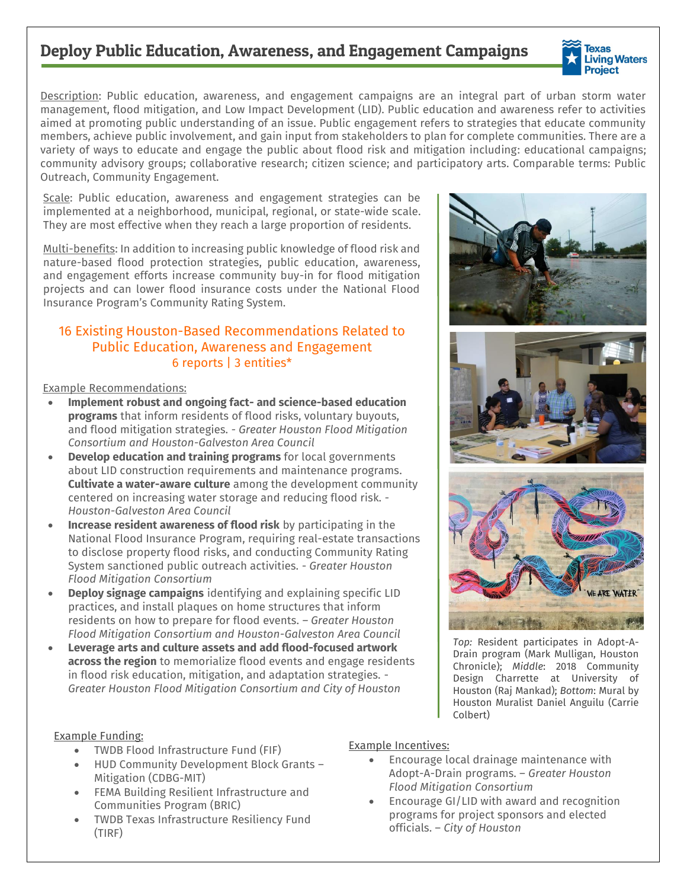## Deploy Public Education, Awareness, and Engagement Campaigns



Description: Public education, awareness, and engagement campaigns are an integral part of urban storm water management, flood mitigation, and Low Impact Development (LID). Public education and awareness refer to activities aimed at promoting public understanding of an issue. Public engagement refers to strategies that educate community members, achieve public involvement, and gain input from stakeholders to plan for complete communities. There are a variety of ways to educate and engage the public about flood risk and mitigation including: educational campaigns; community advisory groups; collaborative research; citizen science; and participatory arts. Comparable terms: Public Outreach, Community Engagement.

Scale: Public education, awareness and engagement strategies can be implemented at a neighborhood, municipal, regional, or state-wide scale. They are most effective when they reach a large proportion of residents.

Multi-benefits: In addition to increasing public knowledge of flood risk and nature-based flood protection strategies, public education, awareness, and engagement efforts increase community buy-in for flood mitigation projects and can lower flood insurance costs under the National Flood Insurance Program's Community Rating System.

## 16 Existing Houston-Based Recommendations Related to Public Education, Awareness and Engagement 6 reports | 3 entities\*

Example Recommendations:

- **Implement robust and ongoing fact- and science-based education programs** that inform residents of flood risks, voluntary buyouts, and flood mitigation strategies. *- Greater Houston Flood Mitigation Consortium and Houston-Galveston Area Council*
- **Develop education and training programs** for local governments about LID construction requirements and maintenance programs. **Cultivate a water-aware culture** among the development community centered on increasing water storage and reducing flood risk. *- Houston-Galveston Area Council*
- **Increase resident awareness of flood risk** by participating in the National Flood Insurance Program, requiring real-estate transactions to disclose property flood risks, and conducting Community Rating System sanctioned public outreach activities. - *Greater Houston Flood Mitigation Consortium*
- **Deploy signage campaigns** identifying and explaining specific LID practices, and install plaques on home structures that inform residents on how to prepare for flood events. *– Greater Houston Flood Mitigation Consortium and Houston-Galveston Area Council*
- **Leverage arts and culture assets and add flood-focused artwork across the region** to memorialize flood events and engage residents in flood risk education, mitigation, and adaptation strategies. - *Greater Houston Flood Mitigation Consortium and City of Houston*







*Top:* Resident participates in Adopt-A-Drain program (Mark Mulligan, Houston Chronicle); *Middle*: 2018 Community Design Charrette at University of Houston (Raj Mankad); *Bottom*: Mural by Houston Muralist Daniel Anguilu (Carrie Colbert)

#### Example Funding:

- TWDB Flood Infrastructure Fund (FIF)
- HUD Community Development Block Grants Mitigation (CDBG-MIT)
- FEMA Building Resilient Infrastructure and Communities Program (BRIC)
- TWDB Texas Infrastructure Resiliency Fund (TIRF)

#### Example Incentives:

- Encourage local drainage maintenance with Adopt-A-Drain programs. – *Greater Houston Flood Mitigation Consortium*
- Encourage GI/LID with award and recognition programs for project sponsors and elected officials. – *City of Houston*